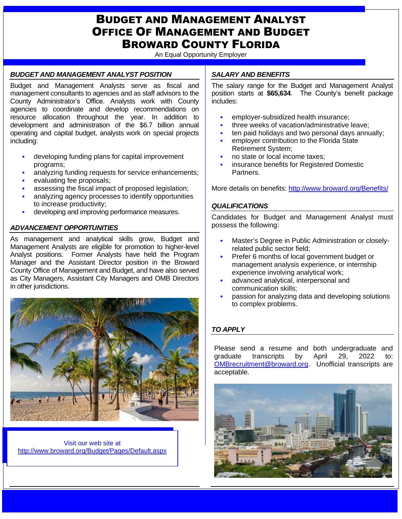# BUDGET AND MANAGEMENT ANALYST OFFICE OF MANAGEMENT AND BUDGET BROWARD COUNTY FLORIDA

An Equal Opportunity Employer

## *BUDGET AND MANAGEMENT ANALYST POSITION*

Budget and Management Analysts serve as fiscal and management consultants to agencies and as staff advisors to the County Administrator's Office. Analysts work with County agencies to coordinate and develop recommendations on resource allocation throughout the year. In addition to development and administration of the \$6.7 billion annual operating and capital budget, analysts work on special projects including:

- developing funding plans for capital improvement programs;
- analyzing funding requests for service enhancements;
- evaluating fee proposals;
- **EXE** assessing the fiscal impact of proposed legislation;
- analyzing agency processes to identify opportunities to increase productivity;
- developing and improving performance measures.

### *ADVANCEMENT OPPORTUNITIES*

 As management and analytical skills grow, Budget and Management Analysts are eligible for promotion to higher-level Analyst positions. Former Analysts have held the Program Manager and the Assistant Director position in the Broward County Office of Management and Budget, and have also served as City Managers, Assistant City Managers and OMB Directors in other jurisdictions.



Visit our web site at <http://www.broward.org/Budget/Pages/Default.aspx>

#### *SALARY AND BENEFITS*

 The salary range for the Budget and Management Analyst position starts at **\$65,634**. The County's benefit package includes:

- employer-subsidized health insurance;
- three weeks of vacation/administrative leave;
- ten paid holidays and two personal days annually;
- employer contribution to the Florida State Retirement System;
- no state or local income taxes;
- insurance benefits for Registered Domestic Partners.

More details on benefits:<http://www.broward.org/Benefits/>

#### *QUALIFICATIONS*

Candidates for Budget and Management Analyst must possess the following:

- Master's Degree in Public Administration or closelyrelated public sector field;
- Prefer 6 months of local government budget or management analysis experience, or internship experience involving analytical work;
- advanced analytical, interpersonal and communication skills;
- passion for analyzing data and developing solutions to complex problems.

## *TO APPLY*

[OMBrecruitment@broward.org.](mailto:OMBrecruitment@broward.org) Unofficial transcripts are Please send a resume and both undergraduate and graduate transcripts by April 29, 2022 to: acceptable.